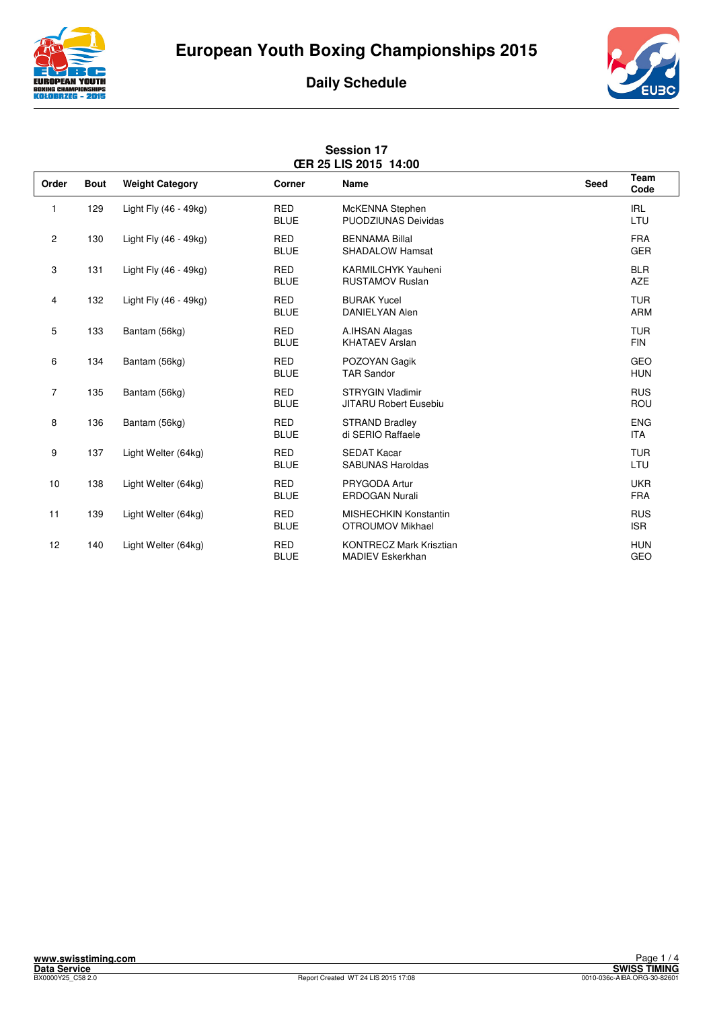





| <b>CER 25 LIS 2015 14:00</b> |             |                        |                           |                                                           |      |                          |  |
|------------------------------|-------------|------------------------|---------------------------|-----------------------------------------------------------|------|--------------------------|--|
| Order                        | <b>Bout</b> | <b>Weight Category</b> | Corner                    | <b>Name</b>                                               | Seed | Team<br>Code             |  |
| 1                            | 129         | Light Fly (46 - 49kg)  | <b>RED</b><br><b>BLUE</b> | McKENNA Stephen<br><b>PUODZIUNAS Deividas</b>             |      | <b>IRL</b><br>LTU        |  |
| $\mathbf{2}$                 | 130         | Light Fly (46 - 49kg)  | <b>RED</b><br><b>BLUE</b> | <b>BENNAMA Billal</b><br><b>SHADALOW Hamsat</b>           |      | <b>FRA</b><br><b>GER</b> |  |
| 3                            | 131         | Light Fly (46 - 49kg)  | <b>RED</b><br><b>BLUE</b> | <b>KARMILCHYK Yauheni</b><br><b>RUSTAMOV Ruslan</b>       |      | <b>BLR</b><br><b>AZE</b> |  |
| 4                            | 132         | Light Fly (46 - 49kg)  | <b>RED</b><br><b>BLUE</b> | <b>BURAK Yucel</b><br><b>DANIELYAN Alen</b>               |      | <b>TUR</b><br><b>ARM</b> |  |
| 5                            | 133         | Bantam (56kg)          | <b>RED</b><br><b>BLUE</b> | A.IHSAN Alagas<br><b>KHATAEV Arslan</b>                   |      | <b>TUR</b><br><b>FIN</b> |  |
| 6                            | 134         | Bantam (56kg)          | <b>RED</b><br><b>BLUE</b> | POZOYAN Gagik<br><b>TAR Sandor</b>                        |      | <b>GEO</b><br><b>HUN</b> |  |
| $\overline{7}$               | 135         | Bantam (56kg)          | <b>RED</b><br><b>BLUE</b> | <b>STRYGIN Vladimir</b><br><b>JITARU Robert Eusebiu</b>   |      | <b>RUS</b><br>ROU        |  |
| 8                            | 136         | Bantam (56kg)          | <b>RED</b><br><b>BLUE</b> | <b>STRAND Bradley</b><br>di SERIO Raffaele                |      | <b>ENG</b><br><b>ITA</b> |  |
| 9                            | 137         | Light Welter (64kg)    | <b>RED</b><br><b>BLUE</b> | <b>SEDAT Kacar</b><br><b>SABUNAS Haroldas</b>             |      | <b>TUR</b><br>LTU        |  |
| 10                           | 138         | Light Welter (64kg)    | <b>RED</b><br><b>BLUE</b> | PRYGODA Artur<br><b>ERDOGAN Nurali</b>                    |      | <b>UKR</b><br><b>FRA</b> |  |
| 11                           | 139         | Light Welter (64kg)    | <b>RED</b><br><b>BLUE</b> | <b>MISHECHKIN Konstantin</b><br>OTROUMOV Mikhael          |      | <b>RUS</b><br><b>ISR</b> |  |
| 12                           | 140         | Light Welter (64kg)    | <b>RED</b><br><b>BLUE</b> | <b>KONTRECZ Mark Krisztian</b><br><b>MADIEV Eskerkhan</b> |      | <b>HUN</b><br>GEO        |  |

## **Session 17**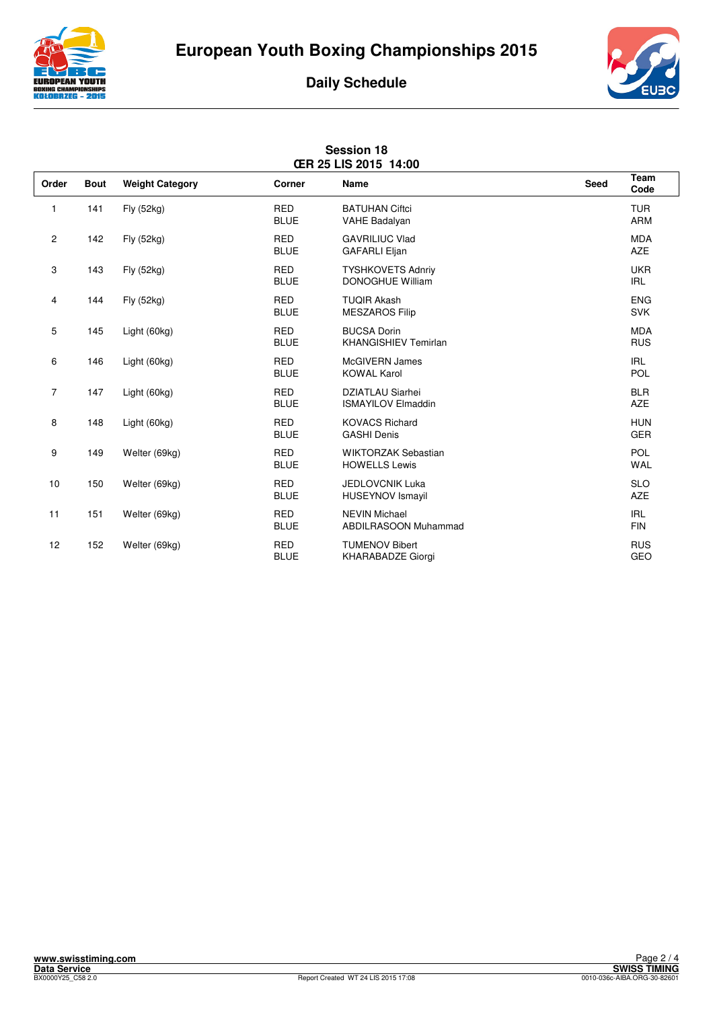





|                | <b>Session 18</b><br>ŒR 25 LIS 2015 14:00 |                        |                           |                                                      |      |                          |  |
|----------------|-------------------------------------------|------------------------|---------------------------|------------------------------------------------------|------|--------------------------|--|
| Order          | <b>Bout</b>                               | <b>Weight Category</b> | Corner                    | <b>Name</b>                                          | Seed | Team<br>Code             |  |
| 1              | 141                                       | Fly (52kg)             | <b>RED</b><br><b>BLUE</b> | <b>BATUHAN Ciftci</b><br>VAHE Badalyan               |      | <b>TUR</b><br><b>ARM</b> |  |
| $\mathbf{2}$   | 142                                       | Fly (52kg)             | <b>RED</b><br><b>BLUE</b> | <b>GAVRILIUC Vlad</b><br><b>GAFARLI Eljan</b>        |      | <b>MDA</b><br><b>AZE</b> |  |
| 3              | 143                                       | Fly (52kg)             | <b>RED</b><br><b>BLUE</b> | <b>TYSHKOVETS Adnriv</b><br><b>DONOGHUE William</b>  |      | <b>UKR</b><br><b>IRL</b> |  |
| 4              | 144                                       | Fly (52kg)             | <b>RED</b><br><b>BLUE</b> | <b>TUQIR Akash</b><br><b>MESZAROS Filip</b>          |      | <b>ENG</b><br><b>SVK</b> |  |
| 5              | 145                                       | Light (60kg)           | <b>RED</b><br><b>BLUE</b> | <b>BUCSA Dorin</b><br><b>KHANGISHIEV Temirlan</b>    |      | <b>MDA</b><br><b>RUS</b> |  |
| 6              | 146                                       | Light (60kg)           | <b>RED</b><br><b>BLUE</b> | <b>McGIVERN James</b><br><b>KOWAL Karol</b>          |      | <b>IRL</b><br><b>POL</b> |  |
| $\overline{7}$ | 147                                       | Light (60kg)           | <b>RED</b><br><b>BLUE</b> | <b>DZIATLAU Siarhei</b><br><b>ISMAYILOV Elmaddin</b> |      | <b>BLR</b><br><b>AZE</b> |  |
| 8              | 148                                       | Light (60kg)           | <b>RED</b><br><b>BLUE</b> | <b>KOVACS Richard</b><br><b>GASHI Denis</b>          |      | <b>HUN</b><br><b>GER</b> |  |
| 9              | 149                                       | Welter (69kg)          | <b>RED</b><br><b>BLUE</b> | <b>WIKTORZAK Sebastian</b><br><b>HOWELLS Lewis</b>   |      | <b>POL</b><br><b>WAL</b> |  |
| 10             | 150                                       | Welter (69kg)          | <b>RED</b><br><b>BLUE</b> | <b>JEDLOVCNIK Luka</b><br><b>HUSEYNOV Ismayil</b>    |      | <b>SLO</b><br><b>AZE</b> |  |
| 11             | 151                                       | Welter (69kg)          | <b>RED</b><br><b>BLUE</b> | <b>NEVIN Michael</b><br><b>ABDILRASOON Muhammad</b>  |      | <b>IRL</b><br><b>FIN</b> |  |
| 12             | 152                                       | Welter (69kg)          | <b>RED</b><br><b>BLUE</b> | <b>TUMENOV Bibert</b><br>KHARABADZE Giorgi           |      | <b>RUS</b><br>GEO        |  |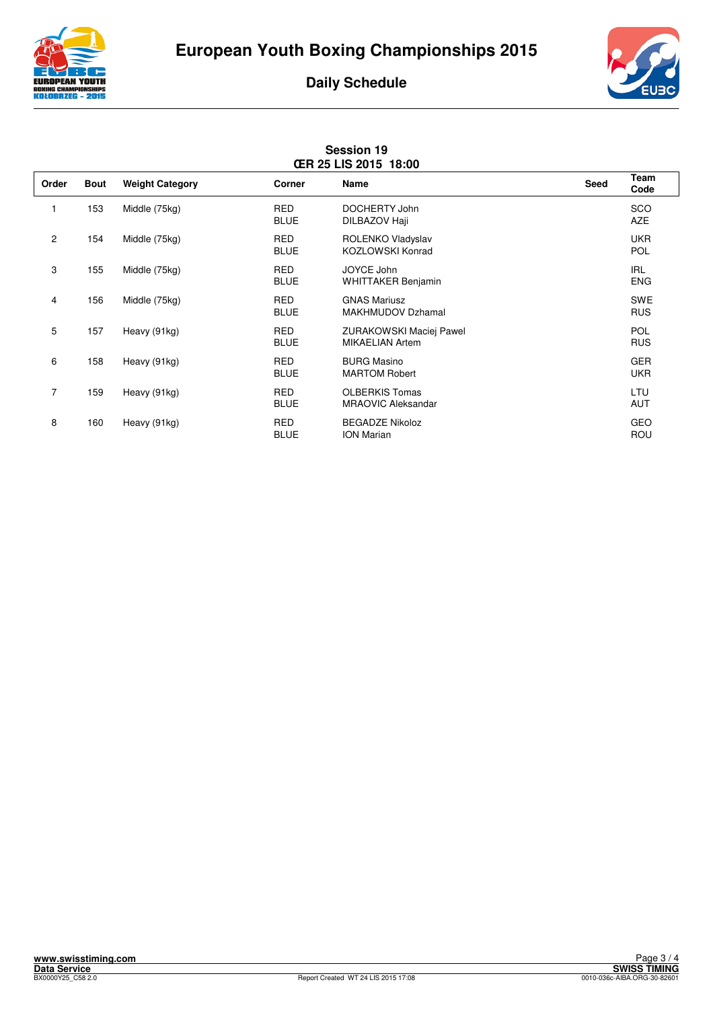





| <b>Session 19</b><br><b>CER 25 LIS 2015 18:00</b> |             |                        |                           |                                                          |      |                          |
|---------------------------------------------------|-------------|------------------------|---------------------------|----------------------------------------------------------|------|--------------------------|
| Order                                             | <b>Bout</b> | <b>Weight Category</b> | <b>Corner</b>             | Name                                                     | Seed | <b>Team</b><br>Code      |
| 1                                                 | 153         | Middle (75kg)          | <b>RED</b><br><b>BLUE</b> | DOCHERTY John<br>DILBAZOV Haji                           |      | SCO<br><b>AZE</b>        |
| $\overline{c}$                                    | 154         | Middle (75kg)          | RED<br><b>BLUE</b>        | ROLENKO Vladyslav<br><b>KOZLOWSKI Konrad</b>             |      | <b>UKR</b><br>POL        |
| 3                                                 | 155         | Middle (75kg)          | <b>RED</b><br><b>BLUE</b> | JOYCE John<br>WHITTAKER Benjamin                         |      | <b>IRL</b><br><b>ENG</b> |
| 4                                                 | 156         | Middle (75kg)          | <b>RED</b><br><b>BLUE</b> | <b>GNAS Mariusz</b><br><b>MAKHMUDOV Dzhamal</b>          |      | <b>SWE</b><br><b>RUS</b> |
| 5                                                 | 157         | Heavy (91kg)           | <b>RED</b><br><b>BLUE</b> | <b>ZURAKOWSKI Maciej Pawel</b><br><b>MIKAELIAN Artem</b> |      | <b>POL</b><br><b>RUS</b> |
| 6                                                 | 158         | Heavy (91kg)           | <b>RED</b><br><b>BLUE</b> | <b>BURG Masino</b><br><b>MARTOM Robert</b>               |      | <b>GER</b><br><b>UKR</b> |
| $\overline{7}$                                    | 159         | Heavy (91kg)           | <b>RED</b><br><b>BLUE</b> | <b>OLBERKIS Tomas</b><br><b>MRAOVIC Aleksandar</b>       |      | LTU<br><b>AUT</b>        |
| 8                                                 | 160         | Heavy (91kg)           | RED<br><b>BLUE</b>        | <b>BEGADZE Nikoloz</b><br><b>ION Marian</b>              |      | GEO<br>ROU               |